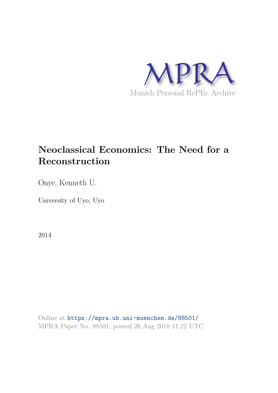

# **Neoclassical Economics: The Need for a Reconstruction**

Onye, Kenneth U.

University of Uyo, Uyo

2014

Online at https://mpra.ub.uni-muenchen.de/88501/ MPRA Paper No. 88501, posted 26 Aug 2018 11:22 UTC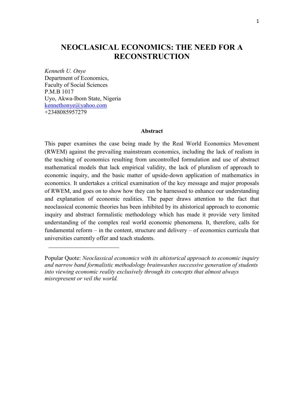## **NEOCLASICAL ECONOMICS: THE NEED FOR A RECONSTRUCTION**

*Kenneth U. Onye*  Department of Economics, Faculty of Social Sciences P.M.B 1017 Uyo, Akwa-Ibom State, Nigeria [kennethonye@yahoo.com](mailto:kennethonye@yahoo.com) +2348085957279

### **Abstract**

This paper examines the case being made by the Real World Economics Movement (RWEM) against the prevailing mainstream economics, including the lack of realism in the teaching of economics resulting from uncontrolled formulation and use of abstract mathematical models that lack empirical validity, the lack of pluralism of approach to economic inquiry, and the basic matter of upside-down application of mathematics in economics. It undertakes a critical examination of the key message and major proposals of RWEM, and goes on to show how they can be harnessed to enhance our understanding and explanation of economic realities. The paper draws attention to the fact that neoclassical economic theories has been inhibited by its ahistorical approach to economic inquiry and abstract formalistic methodology which has made it provide very limited understanding of the complex real world economic phenomena. It, therefore, calls for fundamental reform – in the content, structure and delivery – of economics curricula that universities currently offer and teach students.

Popular Quote: *Neoclassical economics with its ahistorical approach to economic inquiry and narrow band formalistic methodology brainwashes successive generation of students into viewing economic reality exclusively through its concepts that almost always misrepresent or veil the world.*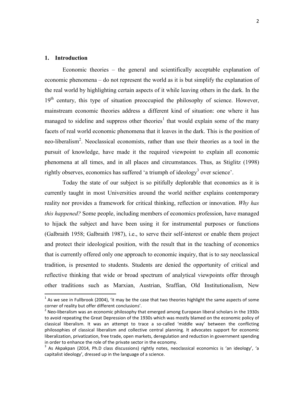#### **1. Introduction**

 $\overline{\phantom{a}}$ 

Economic theories – the general and scientifically acceptable explanation of economic phenomena – do not represent the world as it is but simplify the explanation of the real world by highlighting certain aspects of it while leaving others in the dark. In the 19<sup>th</sup> century, this type of situation preoccupied the philosophy of science. However, mainstream economic theories address a different kind of situation: one where it has managed to sideline and suppress other theories<sup>1</sup> that would explain some of the many facets of real world economic phenomena that it leaves in the dark. This is the position of neo-liberalism<sup>2</sup>. Neoclassical economists, rather than use their theories as a tool in the pursuit of knowledge, have made it the required viewpoint to explain all economic phenomena at all times, and in all places and circumstances. Thus, as Stiglitz (1998) rightly observes, economics has suffered 'a triumph of ideology<sup>3</sup> over science'.

Today the state of our subject is so pitifully deplorable that economics as it is currently taught in most Universities around the world neither explains contemporary reality nor provides a framework for critical thinking, reflection or innovation. *Why has this happened?* Some people, including members of economics profession, have managed to hijack the subject and have been using it for instrumental purposes or functions (Galbraith 1958; Galbraith 1987), i.e., to serve their self-interest or enable them project and protect their ideological position, with the result that in the teaching of economics that is currently offered only one approach to economic inquiry, that is to say neoclassical tradition, is presented to students. Students are denied the opportunity of critical and reflective thinking that wide or broad spectrum of analytical viewpoints offer through other traditions such as Marxian, Austrian, Sraffian, Old Institutionalism, New

 $^{1}$  As we see in Fullbrook (2004), 'it may be the case that two theories highlight the same aspects of some corner of reality but offer different conclusions'.

 $^{2}$  Neo-liberalism was an economic philosophy that emerged among European liberal scholars in the 1930s to avoid repeating the Great Depression of the 1930s which was mostly blamed on the economic policy of classical liberalism. It was an attempt to trace a so-called 'middle way' between the conflicting philosophies of classical liberalism and collective central planning. It advocates support for economic liberalization, privatization, free trade, open markets, deregulation and reduction in government spending in order to enhance the role of the private sector in the economy.

<sup>&</sup>lt;sup>3</sup> As Akpakpan (2014, Ph.D class discussions) rightly notes, neoclassical economics is 'an ideology', 'a capitalist ideology', dressed up in the language of a science.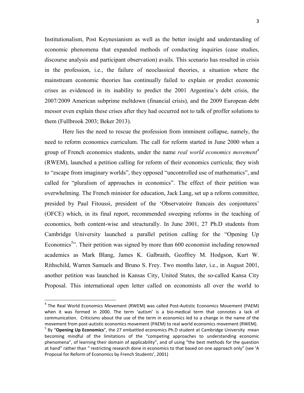Institutionalism, Post Keynesianism as well as the better insight and understanding of economic phenomena that expanded methods of conducting inquiries (case studies, discourse analysis and participant observation) avails. This scenario has resulted in crisis in the profession, i.e., the failure of neoclassical theories, a situation where the mainstream economic theories has continually failed to explain or predict economic crises as evidenced in its inability to predict the 2001 Argentina's debt crisis, the 2007/2009 American subprime meltdown (financial crisis), and the 2009 European debt messor even explain these crises after they had occurred not to talk of proffer solutions to them (Fullbrook 2003; Beker 2013).

Here lies the need to rescue the profession from imminent collapse, namely, the need to reform economics curriculum. The call for reform started in June 2000 when a group of French economics students, under the name *real world economics movement<sup>4</sup>* (RWEM), launched a petition calling for reform of their economics curricula; they wish to "escape from imaginary worlds", they opposed "uncontrolled use of mathematics", and called for "pluralism of approaches in economics". The effect of their petition was overwhelming. The French minister for education, Jack Lang, set up a reform committee, presided by Paul Fitoussi, president of the 'Observatoire francais des conjontures' (OFCE) which, in its final report, recommended sweeping reforms in the teaching of economics, both content-wise and structurally. In June 2001, 27 Ph.D students from Cambridge University launched a parallel petition calling for the "Opening Up Economics<sup>5</sup><sup>3</sup>. Their petition was signed by more than 600 economist including renowned academics as Mark Blang, James K. Galbraith, Geoffrey M. Hodgson, Kurt W. Rithschild, Warren Samuels and Bruno S. Frey. Two months later, i.e., in August 2001, another petition was launched in Kansas City, United States, the so-called Kansa City Proposal. This international open letter called on economists all over the world to

1

<sup>&</sup>lt;sup>4</sup> The Real World Economics Movement (RWEM) was called Post-Autistic Economics Movement (PAEM) when it was formed in 2000. The term 'autism' is a bio-medical term that connotes a lack of communication. Criticisms about the use of the term in economics led to a change in the name of the movement from post-autistic economics movement (PAEM) to real world economics movement (RWEM). 5 By "**Opening Up Economics**", the 27 embattled economics Ph.D student at Cambridge University mean becoming mindful of the limitations of the "competing approaches to understanding economic phenomena", of learning their domain of applicability", and of using "the best methods for the question at hand" rather than " restricting research done in economics to that based on one approach only" (see 'A Proposal for Reform of Economics by French Students', 2001)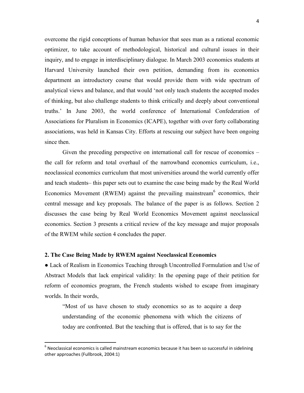overcome the rigid conceptions of human behavior that sees man as a rational economic optimizer, to take account of methodological, historical and cultural issues in their inquiry, and to engage in interdisciplinary dialogue. In March 2003 economics students at Harvard University launched their own petition, demanding from its economics department an introductory course that would provide them with wide spectrum of analytical views and balance, and that would 'not only teach students the accepted modes of thinking, but also challenge students to think critically and deeply about conventional truths.' In June 2003, the world conference of International Confederation of Associations for Pluralism in Economics (ICAPE), together with over forty collaborating associations, was held in Kansas City. Efforts at rescuing our subject have been ongoing since then.

Given the preceding perspective on international call for rescue of economics – the call for reform and total overhaul of the narrowband economics curriculum, i.e., neoclassical economics curriculum that most universities around the world currently offer and teach students– this paper sets out to examine the case being made by the Real World Economics Movement (RWEM) against the prevailing mainstream<sup>6</sup> economics, their central message and key proposals. The balance of the paper is as follows. Section 2 discusses the case being by Real World Economics Movement against neoclassical economics. Section 3 presents a critical review of the key message and major proposals of the RWEM while section 4 concludes the paper.

#### **2. The Case Being Made by RWEM against Neoclassical Economics**

**.** 

● Lack of Realism in Economics Teaching through Uncontrolled Formulation and Use of Abstract Models that lack empirical validity: In the opening page of their petition for reform of economics program, the French students wished to escape from imaginary worlds. In their words,

"Most of us have chosen to study economics so as to acquire a deep understanding of the economic phenomena with which the citizens of today are confronted. But the teaching that is offered, that is to say for the

 $^6$  Neoclassical economics is called mainstream economics because it has been so successful in sidelining other approaches (Fullbrook, 2004:1)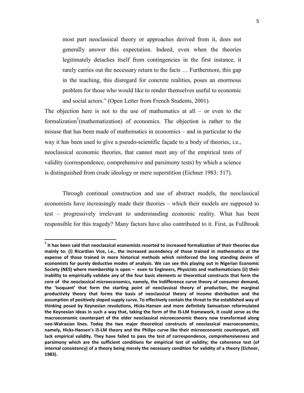most part neoclassical theory or approaches derived from it, does not generally answer this expectation. Indeed, even when the theories legitimately detaches itself from contingencies in the first instance, it rarely carries out the necessary return to the facts … Furthermore, this gap in the teaching, this disregard for concrete realities, poses an enormous problem for those who would like to render themselves useful to economic and social actors." (Open Letter from French Students, 2001).

The objection here is not to the use of mathematics at all  $-$  or even to the formalization<sup>7</sup>(mathematization) of economics. The objection is rather to the misuse that has been made of mathematics in economics – and in particular to the way it has been used to give a pseudo-scientific façade to a body of theories, i.e., neoclassical economic theories, that cannot meet any of the empirical tests of validity (correspondence, comprehensive and parsimony tests) by which a science is distinguished from crude ideology or mere superstition (Eichner 1983: 517).

Through continual construction and use of abstract models, the neoclassical economists have increasingly made their theories – which their models are supposed to test – progressively irrelevant to understanding economic reality. What has been responsible for this tragedy? Many factors have also contributed to it. First, as Fullbrook

 $\overline{\phantom{a}}$ 

**<sup>7</sup> It has been said that neoclassical economists resorted to increased formalization of their theories due mainly to: (i) Ricardian Vice, i.e., the increased ascendency of those trained in mathematics at the expense of those trained in more historical methods which reinforced the long standing desire of economists for purely deductive modes of analysis. We can see this playing out in Nigerian Economic Society (NES) where membership is open – even to Engineers, Physicists and mathematicians (ii) their inability to empirically validate any of the four basic elements or theoretical constructs that form the core of the neoclassical microeconomics, namely, the Indifference curve theory of consumer demand, the 'Isoquant' that form the starting point of neoclassical theory of production, the marginal productivity theory that forms the basis of neoclassical theory of income distribution and the assumption of positively sloped supply curve. To effectively contain the threat to the established way of thinking posed by Keynesian revolutions, Hicks-Hansen and more definitely Samuelson reformulated the Keynesian ideas in such a way that, taking the form of the IS-LM framework, it could serve as the macroeconomic counterpart of the older neoclassical microeconomic theory now transformed along neo-Walrasian lines. Today the two major theoretical constructs of neoclassical macroeconomics, namely, Hicks-Hansen's IS-LM theory and the Philips curve like their microeconomic counterpart, still lack empirical validity. They have failed to pass the test of correspondence, comprehensiveness and parsimony which are the sufficient conditions for empirical test of validity; the coherence test (of internal consistency) of a theory being merely the necessary condition for validity of a theory (Eichner, 1983).**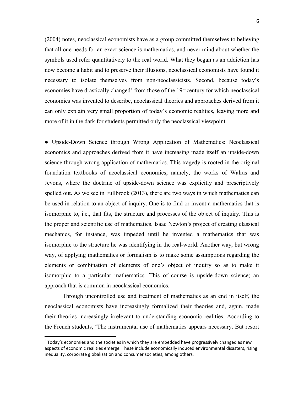(2004) notes, neoclassical economists have as a group committed themselves to believing that all one needs for an exact science is mathematics, and never mind about whether the symbols used refer quantitatively to the real world. What they began as an addiction has now become a habit and to preserve their illusions, neoclassical economists have found it necessary to isolate themselves from non-neoclassicists. Second, because today's economies have drastically changed<sup>8</sup> from those of the  $19<sup>th</sup>$  century for which neoclassical economics was invented to describe, neoclassical theories and approaches derived from it can only explain very small proportion of today's economic realities, leaving more and more of it in the dark for students permitted only the neoclassical viewpoint.

● Upside-Down Science through Wrong Application of Mathematics: Neoclassical economics and approaches derived from it have increasing made itself an upside-down science through wrong application of mathematics. This tragedy is rooted in the original foundation textbooks of neoclassical economics, namely, the works of Walras and Jevons, where the doctrine of upside-down science was explicitly and prescriptively spelled out. As we see in Fullbrook (2013), there are two ways in which mathematics can be used in relation to an object of inquiry. One is to find or invent a mathematics that is isomorphic to, i.e., that fits, the structure and processes of the object of inquiry. This is the proper and scientific use of mathematics. Isaac Newton's project of creating classical mechanics, for instance, was impeded until he invented a mathematics that was isomorphic to the structure he was identifying in the real-world. Another way, but wrong way, of applying mathematics or formalism is to make some assumptions regarding the elements or combination of elements of one's object of inquiry so as to make it isomorphic to a particular mathematics. This of course is upside-down science; an approach that is common in neoclassical economics.

 Through uncontrolled use and treatment of mathematics as an end in itself, the neoclassical economists have increasingly formalized their theories and, again, made their theories increasingly irrelevant to understanding economic realities. According to the French students, 'The instrumental use of mathematics appears necessary. But resort

 $\overline{\phantom{a}}$ 

 $^8$  Today's economies and the societies in which they are embedded have progressively changed as new aspects of economic realities emerge. These include economically induced environmental disasters, rising inequality, corporate globalization and consumer societies, among others.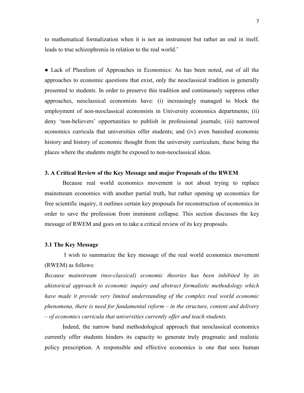to mathematical formalization when it is not an instrument but rather an end in itself, leads to true schizophrenia in relation to the real world.'

• Lack of Pluralism of Approaches in Economics: As has been noted, out of all the approaches to economic questions that exist, only the neoclassical tradition is generally presented to students. In order to preserve this tradition and continuously suppress other approaches, neoclassical economists have: (i) increasingly managed to block the employment of non-neoclassical economists in University economics departments; (ii) deny 'non-believers' opportunities to publish in professional journals; (iii) narrowed economics curricula that universities offer students; and (iv) even banished economic history and history of economic thought from the university curriculum, these being the places where the students might be exposed to non-neoclassical ideas.

#### **3. A Critical Review of the Key Message and major Proposals of the RWEM**

Because real world economics movement is not about trying to replace mainstream economics with another partial truth, but rather opening up economics for free scientific inquiry, it outlines certain key proposals for reconstruction of economics in order to save the profession from imminent collapse. This section discusses the key message of RWEM and goes on to take a critical review of its key proposals.

#### **3.1 The Key Message**

 I wish to summarize the key message of the real world economics movement (RWEM) as follows:

*Because mainstream (neo-classical) economic theories has been inhibited by its ahistorical approach to economic inquiry and abstract formalistic methodology which have made it provide very limited understanding of the complex real world economic phenomena, there is need for fundamental reform – in the structure, content and delivery – of economics curricula that universities currently offer and teach students.* 

 Indeed, the narrow band methodological approach that neoclassical economics currently offer students hinders its capacity to generate truly pragmatic and realistic policy prescription. A responsible and effective economics is one that sees human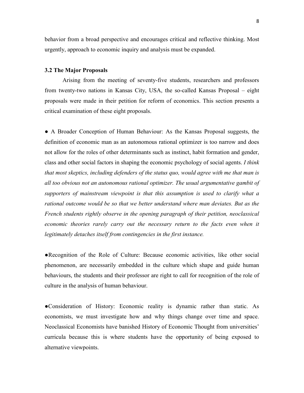behavior from a broad perspective and encourages critical and reflective thinking. Most urgently, approach to economic inquiry and analysis must be expanded.

#### **3.2 The Major Proposals**

Arising from the meeting of seventy-five students, researchers and professors from twenty-two nations in Kansas City, USA, the so-called Kansas Proposal – eight proposals were made in their petition for reform of economics. This section presents a critical examination of these eight proposals.

● A Broader Conception of Human Behaviour: As the Kansas Proposal suggests, the definition of economic man as an autonomous rational optimizer is too narrow and does not allow for the roles of other determinants such as instinct, habit formation and gender, class and other social factors in shaping the economic psychology of social agents. *I think that most skeptics, including defenders of the status quo, would agree with me that man is all too obvious not an autonomous rational optimizer. The usual argumentative gambit of supporters of mainstream viewpoint is that this assumption is used to clarify what a*  rational outcome would be so that we better understand where man deviates. But as the *French students rightly observe in the opening paragraph of their petition, neoclassical economic theories rarely carry out the necessary return to the facts even when it legitimately detaches itself from contingencies in the first instance.* 

●Recognition of the Role of Culture: Because economic activities, like other social phenomenon, are necessarily embedded in the culture which shape and guide human behaviours, the students and their professor are right to call for recognition of the role of culture in the analysis of human behaviour.

●Consideration of History: Economic reality is dynamic rather than static. As economists, we must investigate how and why things change over time and space. Neoclassical Economists have banished History of Economic Thought from universities' curricula because this is where students have the opportunity of being exposed to alternative viewpoints.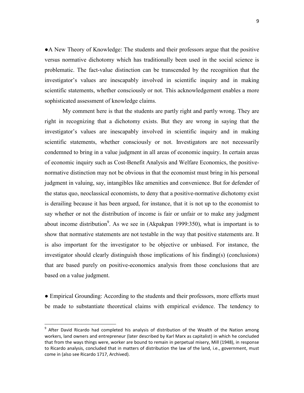●A New Theory of Knowledge: The students and their professors argue that the positive versus normative dichotomy which has traditionally been used in the social science is problematic. The fact-value distinction can be transcended by the recognition that the investigator's values are inescapably involved in scientific inquiry and in making scientific statements, whether consciously or not. This acknowledgement enables a more sophisticated assessment of knowledge claims.

My comment here is that the students are partly right and partly wrong. They are right in recognizing that a dichotomy exists. But they are wrong in saying that the investigator's values are inescapably involved in scientific inquiry and in making scientific statements, whether consciously or not. Investigators are not necessarily condemned to bring in a value judgment in all areas of economic inquiry. In certain areas of economic inquiry such as Cost-Benefit Analysis and Welfare Economics, the positivenormative distinction may not be obvious in that the economist must bring in his personal judgment in valuing, say, intangibles like amenities and convenience. But for defender of the status quo, neoclassical economists, to deny that a positive-normative dichotomy exist is derailing because it has been argued, for instance, that it is not up to the economist to say whether or not the distribution of income is fair or unfair or to make any judgment about income distribution<sup>9</sup>. As we see in (Akpakpan 1999:350), what is important is to show that normative statements are not testable in the way that positive statements are. It is also important for the investigator to be objective or unbiased. For instance, the investigator should clearly distinguish those implications of his finding(s) (conclusions) that are based purely on positive-economics analysis from those conclusions that are based on a value judgment.

● Empirical Grounding: According to the students and their professors, more efforts must be made to substantiate theoretical claims with empirical evidence. The tendency to

**.** 

<sup>&</sup>lt;sup>9</sup> After David Ricardo had completed his analysis of distribution of the Wealth of the Nation among workers, land owners and entrepreneur (later described by Karl Marx as capitalist) in which he concluded that from the ways things were, worker are bound to remain in perpetual misery, Mill (1948), in response to Ricardo analysis, concluded that in matters of distribution the law of the land, i.e., government, must come in (also see Ricardo 1717, Archived).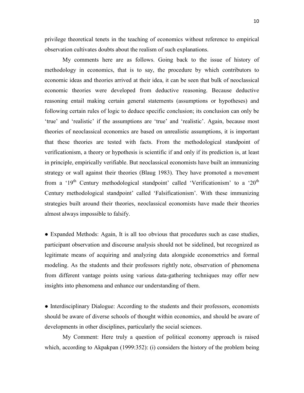privilege theoretical tenets in the teaching of economics without reference to empirical observation cultivates doubts about the realism of such explanations.

 My comments here are as follows. Going back to the issue of history of methodology in economics, that is to say, the procedure by which contributors to economic ideas and theories arrived at their idea, it can be seen that bulk of neoclassical economic theories were developed from deductive reasoning. Because deductive reasoning entail making certain general statements (assumptions or hypotheses) and following certain rules of logic to deduce specific conclusion; its conclusion can only be 'true' and 'realistic' if the assumptions are 'true' and 'realistic'. Again, because most theories of neoclassical economics are based on unrealistic assumptions, it is important that these theories are tested with facts. From the methodological standpoint of verificationism, a theory or hypothesis is scientific if and only if its prediction is, at least in principle, empirically verifiable. But neoclassical economists have built an immunizing strategy or wall against their theories (Blaug 1983). They have promoted a movement from a ' $19<sup>th</sup>$  Century methodological standpoint' called 'Verificationism' to a ' $20<sup>th</sup>$ Century methodological standpoint' called 'Falsificationism'. With these immunizing strategies built around their theories, neoclassical economists have made their theories almost always impossible to falsify.

• Expanded Methods: Again, It is all too obvious that procedures such as case studies, participant observation and discourse analysis should not be sidelined, but recognized as legitimate means of acquiring and analyzing data alongside econometrics and formal modeling. As the students and their professors rightly note, observation of phenomena from different vantage points using various data-gathering techniques may offer new insights into phenomena and enhance our understanding of them.

● Interdisciplinary Dialogue: According to the students and their professors, economists should be aware of diverse schools of thought within economics, and should be aware of developments in other disciplines, particularly the social sciences.

 My Comment: Here truly a question of political economy approach is raised which, according to Akpakpan (1999:352): (i) considers the history of the problem being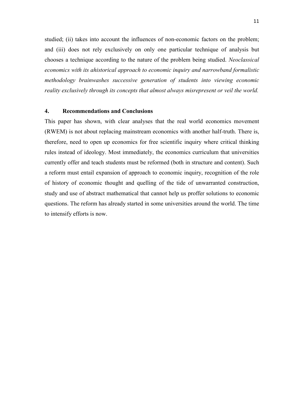studied; (ii) takes into account the influences of non-economic factors on the problem; and (iii) does not rely exclusively on only one particular technique of analysis but chooses a technique according to the nature of the problem being studied. *Neoclassical economics with its ahistorical approach to economic inquiry and narrowband formalistic methodology brainwashes successive generation of students into viewing economic reality exclusively through its concepts that almost always misrepresent or veil the world.* 

### **4. Recommendations and Conclusions**

This paper has shown, with clear analyses that the real world economics movement (RWEM) is not about replacing mainstream economics with another half-truth. There is, therefore, need to open up economics for free scientific inquiry where critical thinking rules instead of ideology. Most immediately, the economics curriculum that universities currently offer and teach students must be reformed (both in structure and content). Such a reform must entail expansion of approach to economic inquiry, recognition of the role of history of economic thought and quelling of the tide of unwarranted construction, study and use of abstract mathematical that cannot help us proffer solutions to economic questions. The reform has already started in some universities around the world. The time to intensify efforts is now.